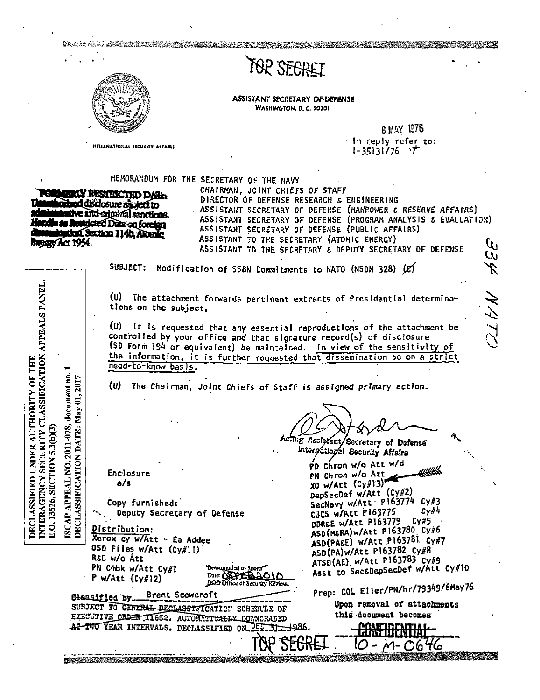**MARKATORS AND ARRIVED AND ARRIVED AND** TOP SEGRET **ASSISTANT SECRETARY OF DEFENSE** WASHINGTON, D. C. 20301 6 MAY 1976 In reply refer to: **INTELNATIONAL SECURITY ASSAIRS**  $1 - 35131/76$  T. MEMORANDUM FOR THE SECRETARY OF THE HAVY CHAIRMAN, JOINT CHIEFS OF STAFF **FORMERIY RESTRICTED DAYS** DIRECTOR OF DEFENSE RESEARCH & ENGINEERING orbed disclosure sixtext to ASSISTANT SECRETARY OF DEFENSE (MANPOWER & RESERVE AFFAIRS) inistrative and stiphy all senctions. ASSISTANT SECRETARY OF DEFENSE (PROGRAM ANALYSIS & EVALUATION) **Indie as Restricted Data on foreign** ASSISTANT SECRETARY OF DEFENSE (PUBLIC AFFAIRS) tica. Section 114b, Alogaic ASSISTANT TO THE SECRETARY (ATOMIC ENERGY) **BROSSY Act 1954.** ASSISTANT TO THE SECRETARY & DEPUTY SECRETARY OF DEFENSE W SUBJECT: Modification of SSBN Commitments to NATO (NSDM 328) (e) INTERAGENCY SECURITY CLASSIFICATION APPEALS PANEL (U) The attachment forwards pertinent extracts of Presidential determina-メンブ tions on the subject. (U) It is requested that any essential reproductions of the attachment be controlled by your office and that signature record(s) of disclosure (SD Form 194 or equivalent) be maintained. In view of the sensitivity of the information, it is further requested that dissemination be on a strict DECLASSIFIED UNDER AUTHORITY OF THE need-to-know basis. document no. DECLASSIFICATION DATE: May 01, 2017  $\{w\}$ The Chairman, Joint Chiefs of Staff is assigned primary action. NO. 2011-078, E.O. 13526, SECTION 5.3(b)(3) trig Assiszant/Secretary of Defense Interpational Security Affairs PD Chron w/o Att w/d Enclosure PN Chron w/o Att XO w/Att (Cy#13) APPEAL  $a/s$ DepSecDef w/Att (Cy#2) SecNavy w/Att P163774  $CYH3$ Copy furnished:  $cyF4$ Deputy Secretary of Defense CJCS w/Att P163775 **ISCAP** DDR&E w/Att P163779 Cy#5 ASD(M&RA)w/Att P163780 Cy#6 Distribution: Xerox cy w/Att - Ea Addee ASD(PA&E) w/Att P163781 Cy#7 OSD Files w/Att (Cy#ll) ASD(PA)W/Att P163782 Cy#8 REC w/o Att ATSD(AE) w/Att P163783 Cv#9 Asst to SecaDepSecDef w/Att Cy#10 PN Cribk w/Att Cy#1 DOWNLIGHT TO Super Date: OSPER P w/Att  $(c\gamma\#12)$ DOD Office of Security Prep: COL Eller/PN/hr/79349/6May76 Brent Scowcroft Classified by... Upon removal of attachments SUBJECT TO GENERAL DECLASSIFICATION SCHEDULE OF this document becomes EXECUTIVE CEDER II652. AUTOMATICALLY DOWNGRADED AT INO YEAR INTERVALS. DECLASSIFIED ON PED

THE REAL PROPERTY OF PERSONAL PROPERTY AND INTERFERED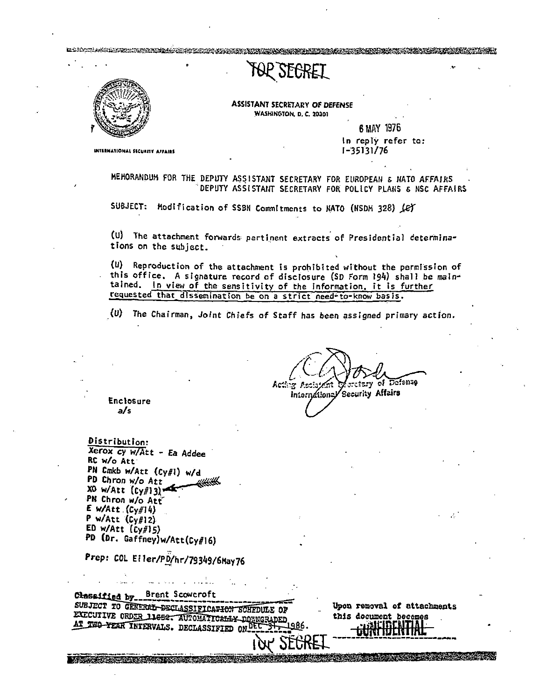## TOP SEGRET

LDROCH AND DER STREEK STREEK ER DER HIJFERIGE EN DIE STREEK DIE DIE STREEK DIE DIE STREEK DIE DIE DIE STREEK D



ASSISTANT SECRETARY OF *DEFENSE*  **WASHINGTON. D. C. 20301** 

> 6MAY 1976 In reply refer to: l-'35131/76

**INTERNATIONAL SECURITY AFFAIRS** 

MEMORANDUM FOR THE DEPUTY ASSISTANT SECRETARY FOR EUROPEAN & NATO AFFAIRS . DEPUTY ASSISTAllT SECRETARY FOR POLICY PLANS & NSC AFFAIRS

SUBJECT: Modification of SSBN Commitments to NATO (NSDM 328) Let

(U) The attachment forwards pertinent extracts of Presidential determinations on the subject.

(U) Reproduction of the attachment is prohibited without the permission of this office. A signature record of disclosure (SD Form 194) shall be maintained. In view of the sensitivity of the information, it is further requested that dissemination be on a strict need-to-know basis.

(U) The Chairman, Joint Chiefs of Staff has been assigned primary action.

 $\overline{\mathrm{De}}$ fenso Acting Asciaten retary of

International Security Affairs

Enclosure a/s

Distribution: Xerox cy w/Att - *Ea* Addee RC w/o Att· PN Cmkb w/Att (Cy#I) w/d PD Chron w/o Att  $X0$  w/Att  $\left[\begin{smallmatrix} C & f \\ C & f \end{smallmatrix}\right]$ PN Chron w/o Att E w/Att .(Cy#I 4) P w/Att (Cy#l 2) ED w/Att  $(c_{y#15})$ PD (Dr. Gaffney)w/Att(Cy#l6)

Prep: COL Eiler/PD/hr/79349/6May76

| Brent Scowcroft<br>Classified by.<br>SUBJECT TO GENERAL DECLASSIFICATION SCHED'<br>$\bullet$<br>EXECUTIVE ORDER 11652. AUTOMATICALLY DOWN<br>AT THO YEAR INTERVALS. DECLASSIFIED ONLEL | Upon removal of attachments<br>this document becomes |  |
|----------------------------------------------------------------------------------------------------------------------------------------------------------------------------------------|------------------------------------------------------|--|
|                                                                                                                                                                                        |                                                      |  |
|                                                                                                                                                                                        |                                                      |  |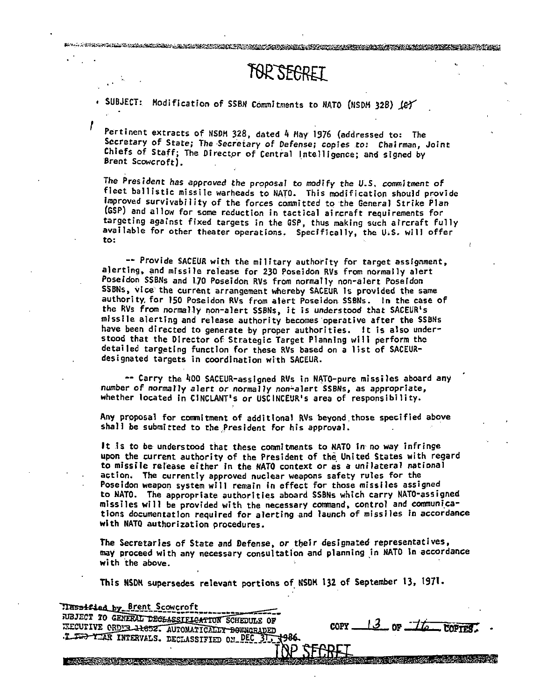SUBJECT: Modification of SSBN Commitments to NATO (NSDM 328) Let

Pertinent extracts of NSDM 328, dated 4 May 1976 (addressed to: The<br>Secretary of State; The Secretary of Defense; copies to: Chairman, Joint Chiefs of Staff; The Director of Central Intelligence; and signed by Brent Scowcroft).

TOR SEGRET

The President has approved the proposal *to modify* the U.S. *commitment* of fleet ballistic missile warheads to NATO. This modification should provide Improved survivability of the forces committed to the General Strike Plan (GSP) and allow for some reduction in tactical aircraft requirements for targeting against fixed targets in the GSP, thus making such aircraft fully available for other theater operations. Specifically, the U.S. will offer to:

-- Provide SACEUR with the military authority for target assignment, alerting, and missile release for 230 Poseidon RVs from normally alert Poseidon SSBNs and 1.70 Poseidon RVs from normally non-alert Poseidon SSBNs, vice the current arrangement whereby SACEUR is provided the same authority, for 150 Poseidon RVs from alert Poseidon SSBNs. In the case of the RVs from normal.ly non-alert SSBNs, *it* is understood that SACEUR's missile alerting and release authority becomes·operative after the SSBNs have been directed to generate by proper authorities. It is also understood that the Director of Strategic Target Planning will perform tho detailed targeting function for these RVs based on a 1ist of SACEURdesignated targets in coordination with SACEUR.

-- Carry the 400 SACEUR-assigned RVs in NATO-pure missiles aboard any number of normally alert or normally non-alert SSBNs, as appropriate, whether located in CINCLANT's or USCINCEUR's area of responsibility.

Any proposal for commitment of additional RVs beyond those specified above shall be submitted to the.President for his approval.

It is to be understood that these commitments to NATO in no way infringe upon the current authority of the President of the United States with regard to missile release either in the NATO context or as a unilateral national action. The currently approved nuclear weapons safety rules for the Poseidon weapon system will remain in effect for those missiles assigned to NATO. The appropriate authorities aboard SSBNs which carry NATO-assigned missiles will be provided with the necessary command, control and communi,cations documentation required for alerting and launch of missiles in accordance with NATO authorization procedures.

The Secretaries of State and Defense, or their designated representatives, may proceed with any necessary consultation and planning in NATO in accordance with the above.

This NSDM supersedes relevant portions of NSDH 132 of September 13, 1971.

Trassified by Brent Scowcroft === JUBJECT TO GENERAL DECLASSIFICATION SCHEDULS OF  $\frac{13}{9}$  or  $\frac{-11}{9}$ ELCUTIVE ORDER 11652. AUTOMATICALLY DOWNGRADED :LEED YEAR INTERVALS. DECLASSIFIED ON DEC 31, 1986. <u>The Commission of the Commission of the Commission of the Commission of the Commission of the Commission of the Commission of the Commission of the Commission of the Commission of the Commission of the Commission of the C</u>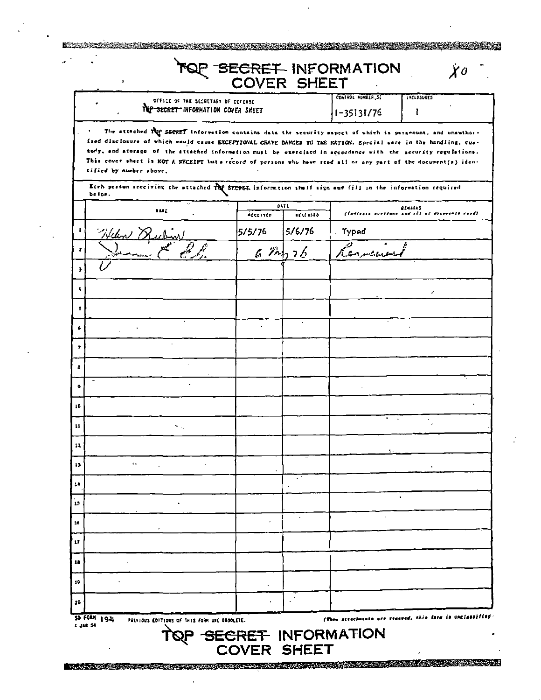|              |                                                                                                                                                                                                                                                                                                                                                                                                                                                                                                                                                                                                           |                 |                         | OF SECRET INFORMATION               |                                                                 |
|--------------|-----------------------------------------------------------------------------------------------------------------------------------------------------------------------------------------------------------------------------------------------------------------------------------------------------------------------------------------------------------------------------------------------------------------------------------------------------------------------------------------------------------------------------------------------------------------------------------------------------------|-----------------|-------------------------|-------------------------------------|-----------------------------------------------------------------|
|              | OFFICE OF THE SECRETARY OF DEFENSE<br>THE SECRET INFORMATION COVER SHEET                                                                                                                                                                                                                                                                                                                                                                                                                                                                                                                                  |                 |                         | CONTROL HUMBER SI<br>$1 - 35131/76$ | <b>INCLOSURES</b><br>ı                                          |
|              | The attached TOP SECRET information contains data the security aspect of which is paramount, and unauthor-<br>ized disclosure of which would cause EXCEPTIONAL GRAVE DANGER TO THE NATION. Special care in the handling, cus-<br>tody, and atorage of the attached information must be exercised in accordance with the security regulations.<br>This cover sheet is NOT A RECEIPT but a record of persons who have read all or any part of the document(s) iden-<br>tified by number above,<br>Each person receiving the attached TOP STCRET information shall sign and fill in the information required |                 |                         |                                     |                                                                 |
|              | be for.                                                                                                                                                                                                                                                                                                                                                                                                                                                                                                                                                                                                   |                 |                         |                                     |                                                                 |
|              | a la E                                                                                                                                                                                                                                                                                                                                                                                                                                                                                                                                                                                                    | <b>ACCESSED</b> | DATE<br><b>ACCESSED</b> |                                     | <b>BENARAS</b><br>(ladicate portlans and ell of documents raad) |
|              | Welen Dr                                                                                                                                                                                                                                                                                                                                                                                                                                                                                                                                                                                                  | 5/5/76          | 5/6/76                  | Typed                               |                                                                 |
| Ŧ            |                                                                                                                                                                                                                                                                                                                                                                                                                                                                                                                                                                                                           |                 | 674,76                  | Kennearm                            |                                                                 |
| э            |                                                                                                                                                                                                                                                                                                                                                                                                                                                                                                                                                                                                           |                 |                         |                                     |                                                                 |
| ×.           |                                                                                                                                                                                                                                                                                                                                                                                                                                                                                                                                                                                                           |                 |                         |                                     | ŕ.                                                              |
| ٠            |                                                                                                                                                                                                                                                                                                                                                                                                                                                                                                                                                                                                           |                 |                         |                                     |                                                                 |
| 6            |                                                                                                                                                                                                                                                                                                                                                                                                                                                                                                                                                                                                           |                 | ٠                       |                                     |                                                                 |
| $\mathbf{r}$ |                                                                                                                                                                                                                                                                                                                                                                                                                                                                                                                                                                                                           |                 |                         |                                     |                                                                 |
| a            |                                                                                                                                                                                                                                                                                                                                                                                                                                                                                                                                                                                                           |                 |                         |                                     |                                                                 |
| ۰            | $\cdot\hspace{0.75mm}$                                                                                                                                                                                                                                                                                                                                                                                                                                                                                                                                                                                    |                 |                         |                                     |                                                                 |
| 10           |                                                                                                                                                                                                                                                                                                                                                                                                                                                                                                                                                                                                           |                 |                         |                                     |                                                                 |
|              |                                                                                                                                                                                                                                                                                                                                                                                                                                                                                                                                                                                                           |                 |                         |                                     |                                                                 |
| 11           | ÷.,                                                                                                                                                                                                                                                                                                                                                                                                                                                                                                                                                                                                       |                 |                         |                                     |                                                                 |
| 12           | $\bullet$                                                                                                                                                                                                                                                                                                                                                                                                                                                                                                                                                                                                 |                 |                         |                                     |                                                                 |
| 17           |                                                                                                                                                                                                                                                                                                                                                                                                                                                                                                                                                                                                           |                 |                         |                                     |                                                                 |
| 77           |                                                                                                                                                                                                                                                                                                                                                                                                                                                                                                                                                                                                           |                 |                         |                                     | ٠                                                               |
| 15           |                                                                                                                                                                                                                                                                                                                                                                                                                                                                                                                                                                                                           |                 |                         |                                     |                                                                 |
| 16           |                                                                                                                                                                                                                                                                                                                                                                                                                                                                                                                                                                                                           |                 |                         |                                     |                                                                 |
| 17           |                                                                                                                                                                                                                                                                                                                                                                                                                                                                                                                                                                                                           |                 |                         |                                     |                                                                 |
| 18           |                                                                                                                                                                                                                                                                                                                                                                                                                                                                                                                                                                                                           |                 |                         |                                     |                                                                 |
| 10           |                                                                                                                                                                                                                                                                                                                                                                                                                                                                                                                                                                                                           |                 |                         |                                     |                                                                 |
| 20           |                                                                                                                                                                                                                                                                                                                                                                                                                                                                                                                                                                                                           |                 |                         |                                     |                                                                 |

 $\epsilon$ 

 $\frac{1}{2} \frac{1}{2} \frac{1}{2} \frac{1}{2} \frac{1}{2}$ 

 $\mathcal{L}^{\mathcal{L}}$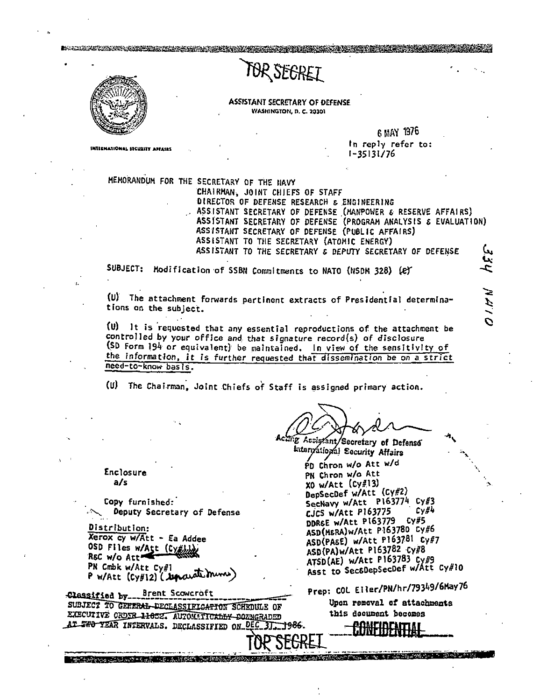## TOR SEGREI



INTERNATIONAL SECURITY ASSESSE

DER BERTANDEN DER TRANSPORTER AND DER TRANSPORTER

**ASSISTANT SECRETARY OF DEFENSE** WASHINGTON, D. C. 20301

> 6 MAY 1976 In reply refer to:  $1 - 35131/76$

> > ミンディ

MEMORANDUM FOR THE SECRETARY OF THE HAVY

CHAIRMAN, JOINT CHIEFS OF STAFF DIRECTOR OF DEFENSE RESEARCH & ENGINEERING ASSISTANT SECRETARY OF DEFENSE (MANPOWER & RESERVE AFFAIRS) ASSISTANT SECRETARY OF DEFENSE (PROGRAM ANALYSIS & EVALUATION) ASSISTANT SECRETARY OF DEFENSE (PUBLIC AFFAIRS) ASSISTANT TO THE SECRETARY (ATOMIC ENERGY) ASSISTANT TO THE SECRETARY & DEPUTY SECRETARY OF DEFENSE ىي

SUBJECT: Modification of SSBN Commitments to NATO (NSDM 328) (e)

(U) The attachment forwards pertinent extracts of Presidential determinations on the subject.

(U) It is requested that any essential reproductions of the attachment be controlled by your office and that signature record(s) of disclosure (SD form 194 or equivalent) be maintained. In view of the sensitivity of the information, it is further requested that dissemination be on a strict need-to-know basis.

(U) The Chairman, Joint Chiefs of Staff is assigned primary action.

mg Assistant/Secretary of Defense Interpational Security Affairs

PD Chron w/o Att w/d PN Chron w/o Att  $X0$  w/Att  $(Cy#13)$ DepSecDef w/Att (Cy#2) SecNavy w/Att P163774 Cy#3 CJCS w/Att P163775  $cy#4$ DDR&E w/Att P163779 Cy#5 ASD(MERA)W/Att P163780 Cy#6 ASD(PASE) w/Att P163781 Cy#7 ASD(PA)w/Att P163782 Cy#8 ATSD(AE) w/Att P163783 Cy#9 Asst to SecoDepSecDef w/Att Cy#10

Prep: COL Eller/PN/hr/79349/6May76

Upon removal of attachments this document becomes

All Company of the All Company of the Company of the Company of the Company of the Company of the Company of the Company of the Company of the Company of the Company of the Company of the Company of the Company of the Comp

Enclosure  $a/s$ 

Copy furnished: Deputy Secretary of Defense

Distribution: Xerox cy w/Att - Ea Addee OSD Files w/Att (Cyt) RSC w/o Att PN Cmbk w/Att  $Cy_{\#1}$ P w/Att (Cy#12) ("unarate mines)

<u> 1940 - Adam Andrew Maria I, Amerikaansk politik (d. 1980)</u>

Classified by Brent Scowcroft SUBJECT TO GERERAL-DECLASSIFICATION SCHEDULE OF EXECUTIVE ORDER 11652. AUTOMATICALLY-DOZNGRADED AT TWO YEAR INTERVALS. DECLASSIFIED ON DEC